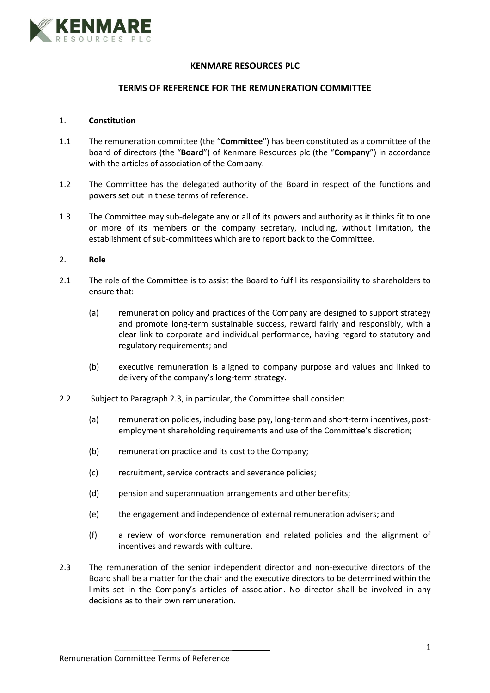

# **KENMARE RESOURCES PLC**

### **TERMS OF REFERENCE FOR THE REMUNERATION COMMITTEE**

## 1. **Constitution**

- 1.1 The remuneration committee (the "**Committee**") has been constituted as a committee of the board of directors (the "**Board**") of Kenmare Resources plc (the "**Company**") in accordance with the articles of association of the Company.
- 1.2 The Committee has the delegated authority of the Board in respect of the functions and powers set out in these terms of reference.
- 1.3 The Committee may sub-delegate any or all of its powers and authority as it thinks fit to one or more of its members or the company secretary, including, without limitation, the establishment of sub-committees which are to report back to the Committee.

### 2. **Role**

- 2.1 The role of the Committee is to assist the Board to fulfil its responsibility to shareholders to ensure that:
	- (a) remuneration policy and practices of the Company are designed to support strategy and promote long-term sustainable success, reward fairly and responsibly, with a clear link to corporate and individual performance, having regard to statutory and regulatory requirements; and
	- (b) executive remuneration is aligned to company purpose and values and linked to delivery of the company's long-term strategy.
- 2.2 Subject to Paragraph 2.3, in particular, the Committee shall consider:
	- (a) remuneration policies, including base pay, long-term and short-term incentives, postemployment shareholding requirements and use of the Committee's discretion;
	- (b) remuneration practice and its cost to the Company;
	- (c) recruitment, service contracts and severance policies;
	- (d) pension and superannuation arrangements and other benefits;
	- (e) the engagement and independence of external remuneration advisers; and
	- (f) a review of workforce remuneration and related policies and the alignment of incentives and rewards with culture.
- 2.3 The remuneration of the senior independent director and non-executive directors of the Board shall be a matter for the chair and the executive directors to be determined within the limits set in the Company's articles of association. No director shall be involved in any decisions as to their own remuneration.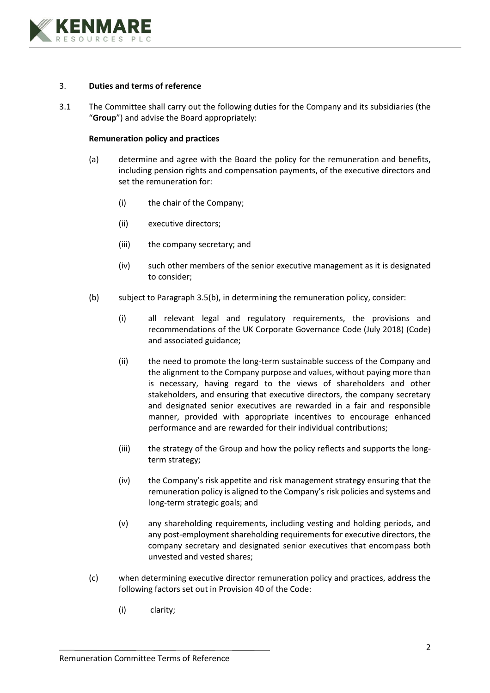

## 3. **Duties and terms of reference**

3.1 The Committee shall carry out the following duties for the Company and its subsidiaries (the "**Group**") and advise the Board appropriately:

### **Remuneration policy and practices**

- (a) determine and agree with the Board the policy for the remuneration and benefits, including pension rights and compensation payments, of the executive directors and set the remuneration for:
	- (i) the chair of the Company;
	- (ii) executive directors;
	- (iii) the company secretary; and
	- (iv) such other members of the senior executive management as it is designated to consider;
- (b) subject to Paragraph 3.5(b), in determining the remuneration policy, consider:
	- (i) all relevant legal and regulatory requirements, the provisions and recommendations of the UK Corporate Governance Code (July 2018) (Code) and associated guidance;
	- (ii) the need to promote the long-term sustainable success of the Company and the alignment to the Company purpose and values, without paying more than is necessary, having regard to the views of shareholders and other stakeholders, and ensuring that executive directors, the company secretary and designated senior executives are rewarded in a fair and responsible manner, provided with appropriate incentives to encourage enhanced performance and are rewarded for their individual contributions;
	- (iii) the strategy of the Group and how the policy reflects and supports the longterm strategy;
	- (iv) the Company's risk appetite and risk management strategy ensuring that the remuneration policy is aligned to the Company's risk policies and systems and long-term strategic goals; and
	- (v) any shareholding requirements, including vesting and holding periods, and any post-employment shareholding requirements for executive directors, the company secretary and designated senior executives that encompass both unvested and vested shares;
- (c) when determining executive director remuneration policy and practices, address the following factors set out in Provision 40 of the Code:
	- (i) clarity;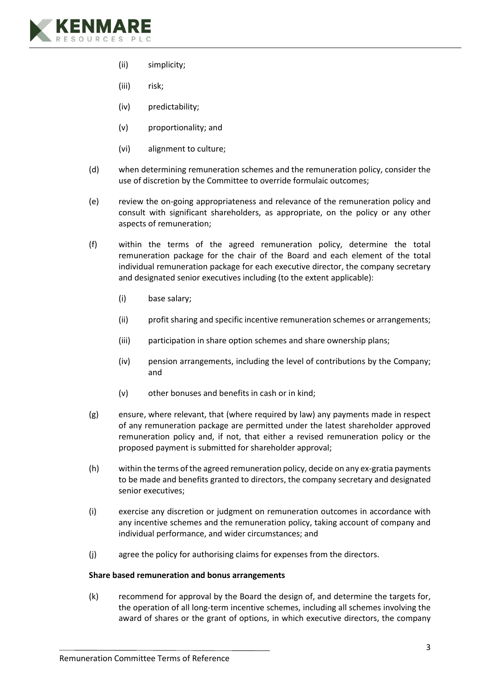

- (ii) simplicity;
- (iii) risk;
- (iv) predictability;
- (v) proportionality; and
- (vi) alignment to culture;
- (d) when determining remuneration schemes and the remuneration policy, consider the use of discretion by the Committee to override formulaic outcomes;
- (e) review the on-going appropriateness and relevance of the remuneration policy and consult with significant shareholders, as appropriate, on the policy or any other aspects of remuneration;
- (f) within the terms of the agreed remuneration policy, determine the total remuneration package for the chair of the Board and each element of the total individual remuneration package for each executive director, the company secretary and designated senior executives including (to the extent applicable):
	- (i) base salary;
	- (ii) profit sharing and specific incentive remuneration schemes or arrangements;
	- (iii) participation in share option schemes and share ownership plans;
	- (iv) pension arrangements, including the level of contributions by the Company; and
	- (v) other bonuses and benefits in cash or in kind;
- (g) ensure, where relevant, that (where required by law) any payments made in respect of any remuneration package are permitted under the latest shareholder approved remuneration policy and, if not, that either a revised remuneration policy or the proposed payment is submitted for shareholder approval;
- (h) within the terms of the agreed remuneration policy, decide on any ex-gratia payments to be made and benefits granted to directors, the company secretary and designated senior executives;
- (i) exercise any discretion or judgment on remuneration outcomes in accordance with any incentive schemes and the remuneration policy, taking account of company and individual performance, and wider circumstances; and
- (j) agree the policy for authorising claims for expenses from the directors.

# **Share based remuneration and bonus arrangements**

(k) recommend for approval by the Board the design of, and determine the targets for, the operation of all long-term incentive schemes, including all schemes involving the award of shares or the grant of options, in which executive directors, the company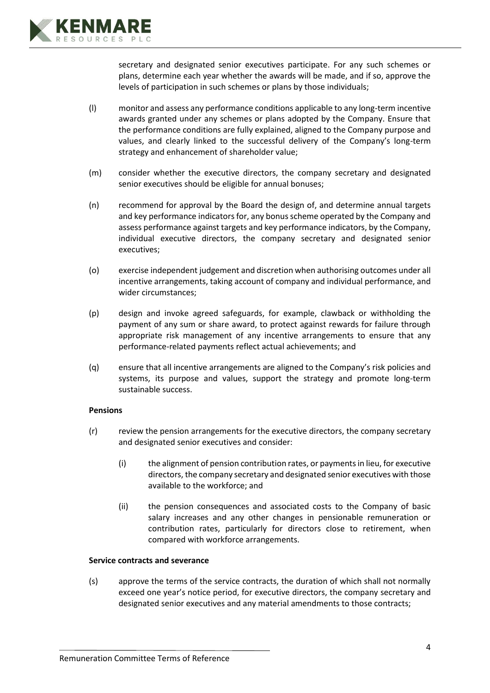

secretary and designated senior executives participate. For any such schemes or plans, determine each year whether the awards will be made, and if so, approve the levels of participation in such schemes or plans by those individuals;

- (l) monitor and assess any performance conditions applicable to any long-term incentive awards granted under any schemes or plans adopted by the Company. Ensure that the performance conditions are fully explained, aligned to the Company purpose and values, and clearly linked to the successful delivery of the Company's long-term strategy and enhancement of shareholder value;
- (m) consider whether the executive directors, the company secretary and designated senior executives should be eligible for annual bonuses;
- (n) recommend for approval by the Board the design of, and determine annual targets and key performance indicators for, any bonus scheme operated by the Company and assess performance against targets and key performance indicators, by the Company, individual executive directors, the company secretary and designated senior executives;
- (o) exercise independent judgement and discretion when authorising outcomes under all incentive arrangements, taking account of company and individual performance, and wider circumstances;
- (p) design and invoke agreed safeguards, for example, clawback or withholding the payment of any sum or share award, to protect against rewards for failure through appropriate risk management of any incentive arrangements to ensure that any performance-related payments reflect actual achievements; and
- (q) ensure that all incentive arrangements are aligned to the Company's risk policies and systems, its purpose and values, support the strategy and promote long-term sustainable success.

# **Pensions**

- (r) review the pension arrangements for the executive directors, the company secretary and designated senior executives and consider:
	- (i) the alignment of pension contribution rates, or payments in lieu, for executive directors, the company secretary and designated senior executives with those available to the workforce; and
	- (ii) the pension consequences and associated costs to the Company of basic salary increases and any other changes in pensionable remuneration or contribution rates, particularly for directors close to retirement, when compared with workforce arrangements.

# **Service contracts and severance**

(s) approve the terms of the service contracts, the duration of which shall not normally exceed one year's notice period, for executive directors, the company secretary and designated senior executives and any material amendments to those contracts;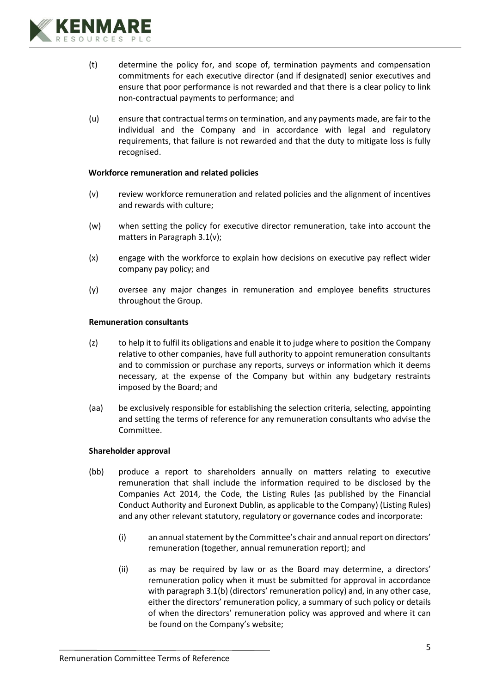

- (t) determine the policy for, and scope of, termination payments and compensation commitments for each executive director (and if designated) senior executives and ensure that poor performance is not rewarded and that there is a clear policy to link non-contractual payments to performance; and
- (u) ensure that contractual terms on termination, and any payments made, are fair to the individual and the Company and in accordance with legal and regulatory requirements, that failure is not rewarded and that the duty to mitigate loss is fully recognised.

# **Workforce remuneration and related policies**

- (v) review workforce remuneration and related policies and the alignment of incentives and rewards with culture;
- (w) when setting the policy for executive director remuneration, take into account the matters in Paragraph 3.1(v);
- (x) engage with the workforce to explain how decisions on executive pay reflect wider company pay policy; and
- (y) oversee any major changes in remuneration and employee benefits structures throughout the Group.

#### **Remuneration consultants**

- (z) to help it to fulfil its obligations and enable it to judge where to position the Company relative to other companies, have full authority to appoint remuneration consultants and to commission or purchase any reports, surveys or information which it deems necessary, at the expense of the Company but within any budgetary restraints imposed by the Board; and
- (aa) be exclusively responsible for establishing the selection criteria, selecting, appointing and setting the terms of reference for any remuneration consultants who advise the Committee.

#### **Shareholder approval**

- (bb) produce a report to shareholders annually on matters relating to executive remuneration that shall include the information required to be disclosed by the Companies Act 2014, the Code, the Listing Rules (as published by the Financial Conduct Authority and Euronext Dublin, as applicable to the Company) (Listing Rules) and any other relevant statutory, regulatory or governance codes and incorporate:
	- (i) an annual statement by the Committee's chair and annual report on directors' remuneration (together, annual remuneration report); and
	- (ii) as may be required by law or as the Board may determine, a directors' remuneration policy when it must be submitted for approval in accordance with paragraph 3.1(b) (directors' remuneration policy) and, in any other case, either the directors' remuneration policy, a summary of such policy or details of when the directors' remuneration policy was approved and where it can be found on the Company's website;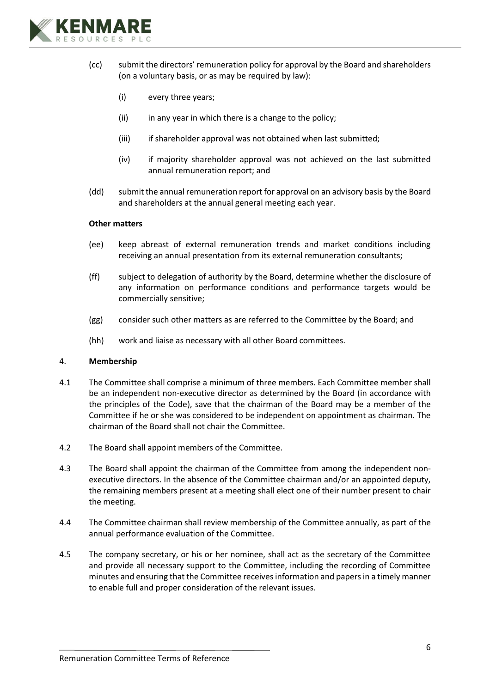

- (cc) submit the directors' remuneration policy for approval by the Board and shareholders (on a voluntary basis, or as may be required by law):
	- (i) every three years;
	- (ii) in any year in which there is a change to the policy;
	- (iii) if shareholder approval was not obtained when last submitted;
	- (iv) if majority shareholder approval was not achieved on the last submitted annual remuneration report; and
- (dd) submit the annual remuneration report for approval on an advisory basis by the Board and shareholders at the annual general meeting each year.

### **Other matters**

- (ee) keep abreast of external remuneration trends and market conditions including receiving an annual presentation from its external remuneration consultants;
- (ff) subject to delegation of authority by the Board, determine whether the disclosure of any information on performance conditions and performance targets would be commercially sensitive;
- (gg) consider such other matters as are referred to the Committee by the Board; and
- (hh) work and liaise as necessary with all other Board committees.

#### 4. **Membership**

- 4.1 The Committee shall comprise a minimum of three members. Each Committee member shall be an independent non-executive director as determined by the Board (in accordance with the principles of the Code), save that the chairman of the Board may be a member of the Committee if he or she was considered to be independent on appointment as chairman. The chairman of the Board shall not chair the Committee.
- 4.2 The Board shall appoint members of the Committee.
- 4.3 The Board shall appoint the chairman of the Committee from among the independent nonexecutive directors. In the absence of the Committee chairman and/or an appointed deputy, the remaining members present at a meeting shall elect one of their number present to chair the meeting.
- 4.4 The Committee chairman shall review membership of the Committee annually, as part of the annual performance evaluation of the Committee.
- 4.5 The company secretary, or his or her nominee, shall act as the secretary of the Committee and provide all necessary support to the Committee, including the recording of Committee minutes and ensuring that the Committee receives information and papers in a timely manner to enable full and proper consideration of the relevant issues.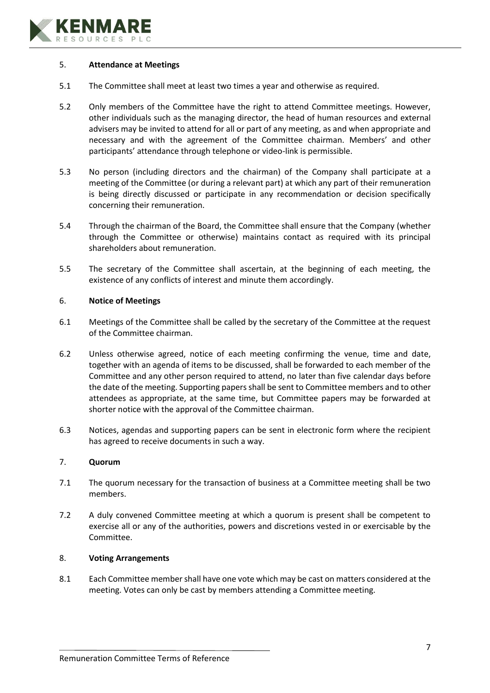

# 5. **Attendance at Meetings**

- 5.1 The Committee shall meet at least two times a year and otherwise as required.
- 5.2 Only members of the Committee have the right to attend Committee meetings. However, other individuals such as the managing director, the head of human resources and external advisers may be invited to attend for all or part of any meeting, as and when appropriate and necessary and with the agreement of the Committee chairman. Members' and other participants' attendance through telephone or video-link is permissible.
- 5.3 No person (including directors and the chairman) of the Company shall participate at a meeting of the Committee (or during a relevant part) at which any part of their remuneration is being directly discussed or participate in any recommendation or decision specifically concerning their remuneration.
- 5.4 Through the chairman of the Board, the Committee shall ensure that the Company (whether through the Committee or otherwise) maintains contact as required with its principal shareholders about remuneration.
- 5.5 The secretary of the Committee shall ascertain, at the beginning of each meeting, the existence of any conflicts of interest and minute them accordingly.

## 6. **Notice of Meetings**

- 6.1 Meetings of the Committee shall be called by the secretary of the Committee at the request of the Committee chairman.
- 6.2 Unless otherwise agreed, notice of each meeting confirming the venue, time and date, together with an agenda of items to be discussed, shall be forwarded to each member of the Committee and any other person required to attend, no later than five calendar days before the date of the meeting. Supporting papers shall be sent to Committee members and to other attendees as appropriate, at the same time, but Committee papers may be forwarded at shorter notice with the approval of the Committee chairman.
- 6.3 Notices, agendas and supporting papers can be sent in electronic form where the recipient has agreed to receive documents in such a way.

# 7. **Quorum**

- 7.1 The quorum necessary for the transaction of business at a Committee meeting shall be two members.
- 7.2 A duly convened Committee meeting at which a quorum is present shall be competent to exercise all or any of the authorities, powers and discretions vested in or exercisable by the Committee.

# 8. **Voting Arrangements**

8.1 Each Committee member shall have one vote which may be cast on matters considered at the meeting. Votes can only be cast by members attending a Committee meeting.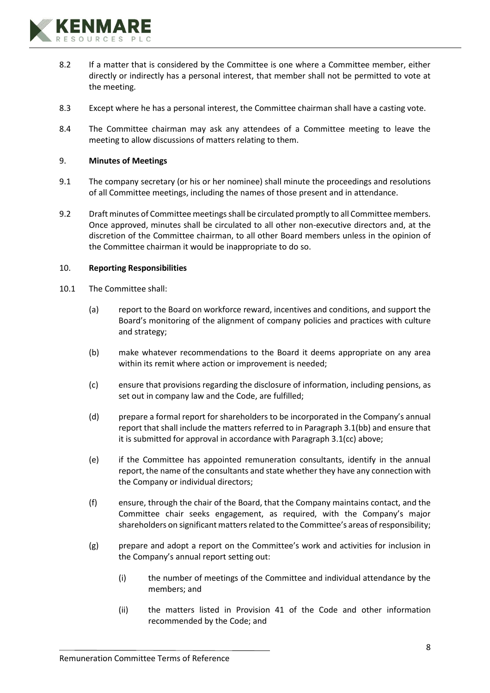

- 8.2 If a matter that is considered by the Committee is one where a Committee member, either directly or indirectly has a personal interest, that member shall not be permitted to vote at the meeting.
- 8.3 Except where he has a personal interest, the Committee chairman shall have a casting vote.
- 8.4 The Committee chairman may ask any attendees of a Committee meeting to leave the meeting to allow discussions of matters relating to them.

## 9. **Minutes of Meetings**

- 9.1 The company secretary (or his or her nominee) shall minute the proceedings and resolutions of all Committee meetings, including the names of those present and in attendance.
- 9.2 Draft minutes of Committee meetings shall be circulated promptly to all Committee members. Once approved, minutes shall be circulated to all other non-executive directors and, at the discretion of the Committee chairman, to all other Board members unless in the opinion of the Committee chairman it would be inappropriate to do so.

### 10. **Reporting Responsibilities**

- 10.1 The Committee shall:
	- (a) report to the Board on workforce reward, incentives and conditions, and support the Board's monitoring of the alignment of company policies and practices with culture and strategy;
	- (b) make whatever recommendations to the Board it deems appropriate on any area within its remit where action or improvement is needed;
	- (c) ensure that provisions regarding the disclosure of information, including pensions, as set out in company law and the Code, are fulfilled;
	- (d) prepare a formal report for shareholders to be incorporated in the Company's annual report that shall include the matters referred to in Paragraph 3.1(bb) and ensure that it is submitted for approval in accordance with Paragraph 3.1(cc) above;
	- (e) if the Committee has appointed remuneration consultants, identify in the annual report, the name of the consultants and state whether they have any connection with the Company or individual directors;
	- (f) ensure, through the chair of the Board, that the Company maintains contact, and the Committee chair seeks engagement, as required, with the Company's major shareholders on significant matters related to the Committee's areas of responsibility;
	- (g) prepare and adopt a report on the Committee's work and activities for inclusion in the Company's annual report setting out:
		- (i) the number of meetings of the Committee and individual attendance by the members; and
		- (ii) the matters listed in Provision 41 of the Code and other information recommended by the Code; and